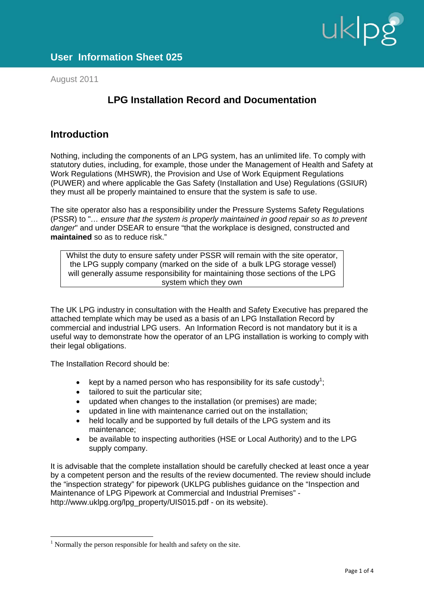

August 2011

# **LPG Installation Record and Documentation**

## **Introduction**

Nothing, including the components of an LPG system, has an unlimited life. To comply with statutory duties, including, for example, those under the Management of Health and Safety at Work Regulations (MHSWR), the Provision and Use of Work Equipment Regulations (PUWER) and where applicable the Gas Safety (Installation and Use) Regulations (GSIUR) they must all be properly maintained to ensure that the system is safe to use.

The site operator also has a responsibility under the Pressure Systems Safety Regulations (PSSR) to "*… ensure that the system is properly maintained in good repair so as to prevent danger*" and under DSEAR to ensure "that the workplace is designed, constructed and **maintained** so as to reduce risk."

Whilst the duty to ensure safety under PSSR will remain with the site operator, the LPG supply company (marked on the side of a bulk LPG storage vessel) will generally assume responsibility for maintaining those sections of the LPG system which they own

The UK LPG industry in consultation with the Health and Safety Executive has prepared the attached template which may be used as a basis of an LPG Installation Record by commercial and industrial LPG users. An Information Record is not mandatory but it is a useful way to demonstrate how the operator of an LPG installation is working to comply with their legal obligations.

The Installation Record should be:

 $\overline{a}$ 

- kept by a named person who has responsibility for its safe custody<sup>1</sup>;
- tailored to suit the particular site;
- updated when changes to the installation (or premises) are made;
- updated in line with maintenance carried out on the installation;
- held locally and be supported by full details of the LPG system and its maintenance;
- be available to inspecting authorities (HSE or Local Authority) and to the LPG supply company.

It is advisable that the complete installation should be carefully checked at least once a year by a competent person and the results of the review documented. The review should include the "inspection strategy" for pipework (UKLPG publishes guidance on the "Inspection and Maintenance of LPG Pipework at Commercial and Industrial Premises" http://www.uklpg.org/lpg\_property/UIS015.pdf - on its website).

 $<sup>1</sup>$  Normally the person responsible for health and safety on the site.</sup>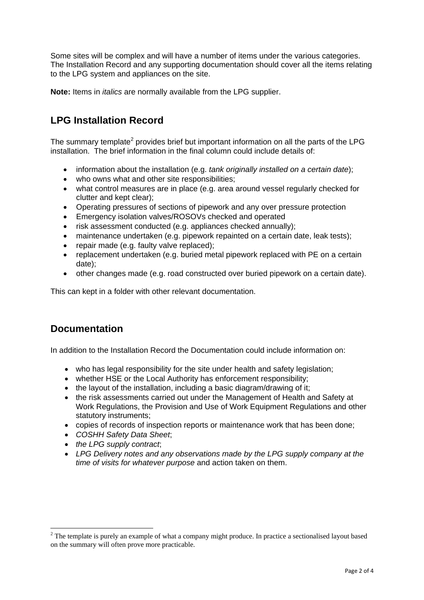Some sites will be complex and will have a number of items under the various categories. The Installation Record and any supporting documentation should cover all the items relating to the LPG system and appliances on the site.

**Note:** Items in *italics* are normally available from the LPG supplier.

# **LPG Installation Record**

The summary template<sup>2</sup> provides brief but important information on all the parts of the LPG installation. The brief information in the final column could include details of:

- information about the installation (e.g. *tank originally installed on a certain date*);
- who owns what and other site responsibilities;
- what control measures are in place (e.g. area around vessel regularly checked for clutter and kept clear);
- Operating pressures of sections of pipework and any over pressure protection
- Emergency isolation valves/ROSOVs checked and operated
- risk assessment conducted (e.g. appliances checked annually);
- maintenance undertaken (e.g. pipework repainted on a certain date, leak tests);
- repair made (e.g. faulty valve replaced);
- replacement undertaken (e.g. buried metal pipework replaced with PE on a certain date);
- other changes made (e.g. road constructed over buried pipework on a certain date).

This can kept in a folder with other relevant documentation.

## **Documentation**

 $\overline{a}$ 

In addition to the Installation Record the Documentation could include information on:

- who has legal responsibility for the site under health and safety legislation;
- whether HSE or the Local Authority has enforcement responsibility;
- the layout of the installation, including a basic diagram/drawing of it;
- the risk assessments carried out under the Management of Health and Safety at Work Regulations, the Provision and Use of Work Equipment Regulations and other statutory instruments;
- copies of records of inspection reports or maintenance work that has been done;
- *COSHH Safety Data Sheet*;
- *the LPG supply contract*;
- *LPG Delivery notes and any observations made by the LPG supply company at the time of visits for whatever purpose* and action taken on them.

 $2^2$  The template is purely an example of what a company might produce. In practice a sectionalised layout based on the summary will often prove more practicable.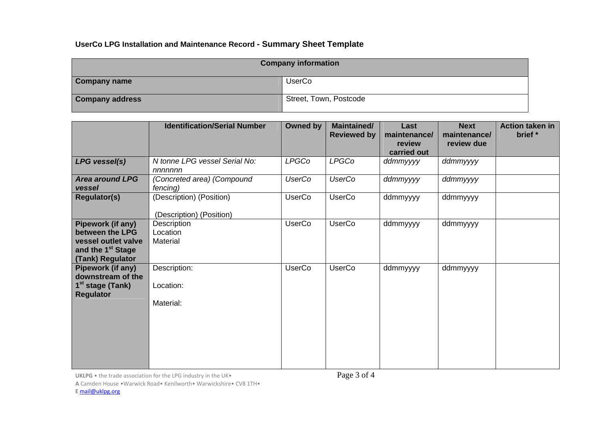### **UserCo LPG Installation and Maintenance Record - Summary Sheet Template**

| <b>Company information</b> |                        |  |
|----------------------------|------------------------|--|
| <b>Company name</b>        | <b>UserCo</b>          |  |
| <b>Company address</b>     | Street, Town, Postcode |  |

|                                        | <b>Identification/Serial Number</b>    | Owned by      | <b>Maintained/</b><br><b>Reviewed by</b> | Last<br>maintenance/<br>review<br>carried out | <b>Next</b><br>maintenance/<br>review due | Action taken in<br>brief * |
|----------------------------------------|----------------------------------------|---------------|------------------------------------------|-----------------------------------------------|-------------------------------------------|----------------------------|
| LPG vessel(s)                          | N tonne LPG vessel Serial No:          | <b>LPGCo</b>  | <b>LPGCo</b>                             | ddmmyyyy                                      | ddmmyyyy                                  |                            |
|                                        | nnnnnnn                                |               |                                          |                                               |                                           |                            |
| <b>Area around LPG</b><br>vessel       | (Concreted area) (Compound<br>fencing) | <b>UserCo</b> | <b>UserCo</b>                            | ddmmyyyy                                      | ddmmyyyy                                  |                            |
| <b>Regulator(s)</b>                    | (Description) (Position)               | <b>UserCo</b> | <b>UserCo</b>                            | ddmmyyyy                                      | ddmmyyyy                                  |                            |
|                                        | (Description) (Position)               |               |                                          |                                               |                                           |                            |
| Pipework (if any)                      | Description                            | <b>UserCo</b> | <b>UserCo</b>                            | ddmmyyyy                                      | ddmmyyyy                                  |                            |
| between the LPG                        | Location                               |               |                                          |                                               |                                           |                            |
| vessel outlet valve                    | Material                               |               |                                          |                                               |                                           |                            |
| and the 1 <sup>st</sup> Stage          |                                        |               |                                          |                                               |                                           |                            |
| (Tank) Regulator                       |                                        |               |                                          |                                               |                                           |                            |
| Pipework (if any)                      | Description:                           | <b>UserCo</b> | <b>UserCo</b>                            | ddmmyyyy                                      | ddmmyyyy                                  |                            |
| downstream of the                      |                                        |               |                                          |                                               |                                           |                            |
| $1st$ stage (Tank)<br><b>Regulator</b> | Location:                              |               |                                          |                                               |                                           |                            |
|                                        | Material:                              |               |                                          |                                               |                                           |                            |
|                                        |                                        |               |                                          |                                               |                                           |                            |
|                                        |                                        |               |                                          |                                               |                                           |                            |
|                                        |                                        |               |                                          |                                               |                                           |                            |
|                                        |                                        |               |                                          |                                               |                                           |                            |
|                                        |                                        |               |                                          |                                               |                                           |                            |
|                                        |                                        |               |                                          |                                               |                                           |                            |

<code>UKLPG</code> • the trade association for the LPG industry in the UK•  $\qquad \qquad \qquad$   $\qquad \qquad$   $\qquad \qquad$   $\qquad \qquad$   $\qquad \qquad$   $\qquad \qquad$   $\qquad \qquad$   $\qquad \qquad$   $\qquad \qquad$   $\qquad \qquad$   $\qquad \qquad$   $\qquad \qquad$   $\qquad \qquad$   $\qquad \qquad$   $\qquad \qquad \qquad$   $\qquad \qquad \qquad$   $\qquad$ 

**A** Camden House •Warwick Road• Kenilworth• Warwickshire• CV8 1TH•